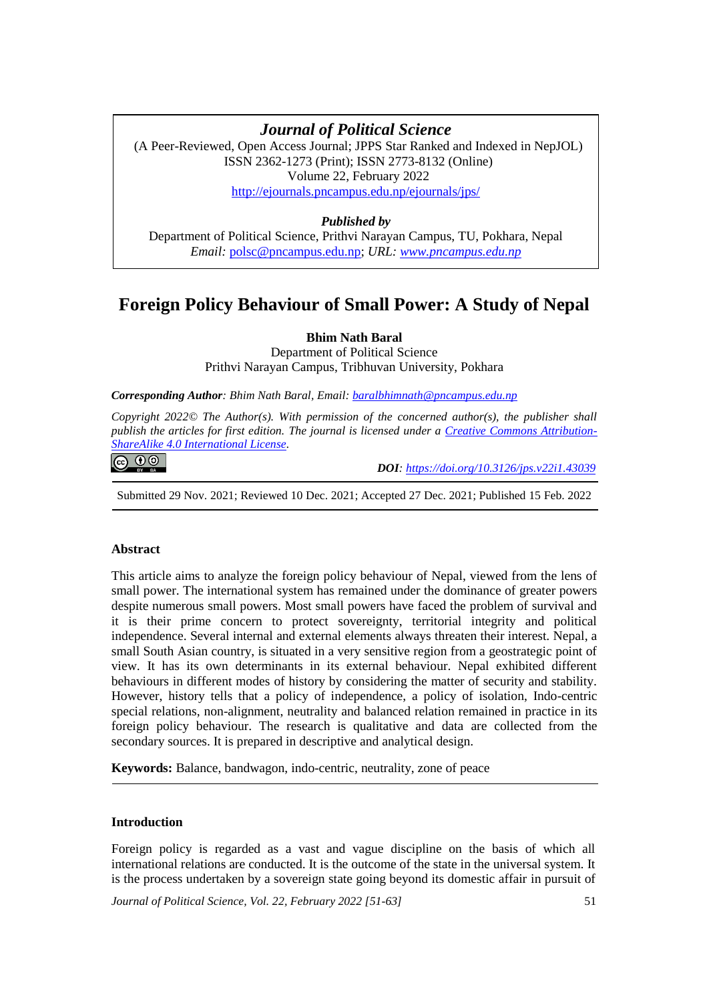# **Journal of Political Science**

(A Peer-Reviewed, Open Access Journal; JPPS Star Ranked and Indexed in NepJOL) ISSN 2362-1273 (Print); ISSN 2773-8132 (Online) Volume 22, February 2022 <http://ejournals.pncampus.edu.np/ejournals/jps/>

## *Published by*

Department of Political Science, Prithvi Narayan Campus, TU, Pokhara, Nepal *Email:* [polsc@pncampus.edu.np;](mailto:polsc@pncampus.edu.np) *URL: [www.pncampus.edu.np](http://www.pncampus.edu.np/)*

## **Foreign Policy Behaviour of Small Power: A Study of Nepal**

**Bhim Nath Baral**

Department of Political Science Prithvi Narayan Campus, Tribhuvan University, Pokhara

*Corresponding Author: Bhim Nath Baral, Email: [baralbhimnath@pncampus.edu.np](mailto:baralbhimnath@pncampus.edu.np)*

*Copyright 2022© The Author(s). With permission of the concerned author(s), the publisher shall publish the articles for first edition. The journal is licensed under a [Creative Commons Attribution-](https://creativecommons.org/licenses/by-sa/4.0/)[ShareAlike 4.0 International License.](https://creativecommons.org/licenses/by-sa/4.0/)*

## **@ 00**

 *DOI: <https://doi.org/10.3126/jps.v22i1.43039>*

Submitted 29 Nov. 2021; Reviewed 10 Dec. 2021; Accepted 27 Dec. 2021; Published 15 Feb. 2022

#### **Abstract**

This article aims to analyze the foreign policy behaviour of Nepal, viewed from the lens of small power. The international system has remained under the dominance of greater powers despite numerous small powers. Most small powers have faced the problem of survival and it is their prime concern to protect sovereignty, territorial integrity and political independence. Several internal and external elements always threaten their interest. Nepal, a small South Asian country, is situated in a very sensitive region from a geostrategic point of view. It has its own determinants in its external behaviour. Nepal exhibited different behaviours in different modes of history by considering the matter of security and stability. However, history tells that a policy of independence, a policy of isolation, Indo-centric special relations, non-alignment, neutrality and balanced relation remained in practice in its foreign policy behaviour. The research is qualitative and data are collected from the secondary sources. It is prepared in descriptive and analytical design.

**Keywords:** Balance, bandwagon, indo-centric, neutrality, zone of peace

#### **Introduction**

Foreign policy is regarded as a vast and vague discipline on the basis of which all international relations are conducted. It is the outcome of the state in the universal system. It is the process undertaken by a sovereign state going beyond its domestic affair in pursuit of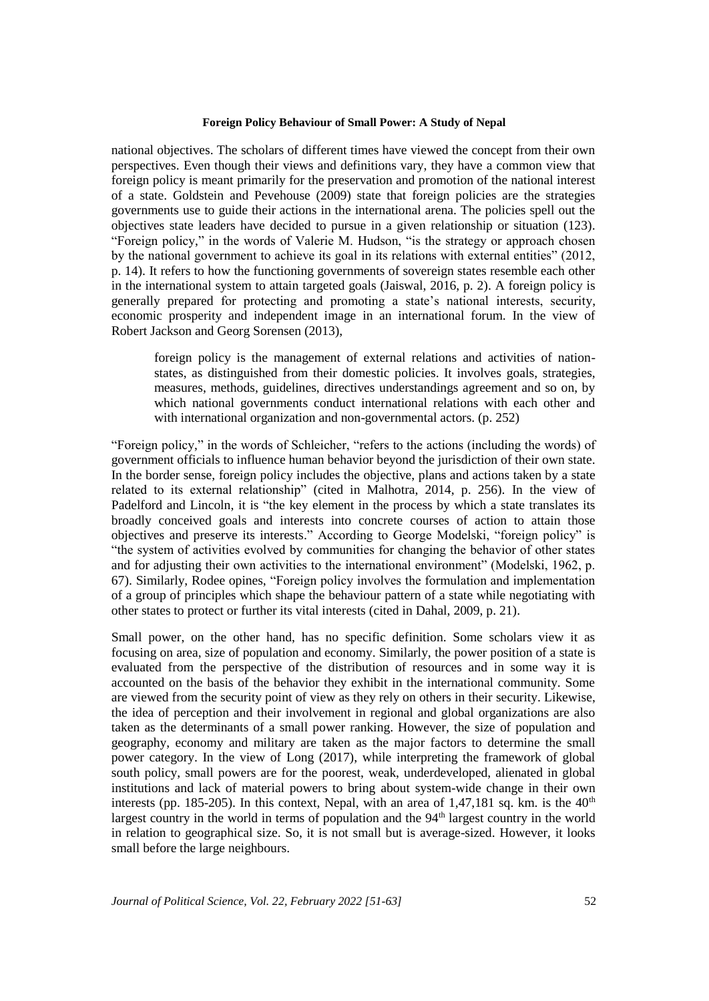national objectives. The scholars of different times have viewed the concept from their own perspectives. Even though their views and definitions vary, they have a common view that foreign policy is meant primarily for the preservation and promotion of the national interest of a state. Goldstein and Pevehouse (2009) state that foreign policies are the strategies governments use to guide their actions in the international arena. The policies spell out the objectives state leaders have decided to pursue in a given relationship or situation (123). "Foreign policy," in the words of Valerie M. Hudson, "is the strategy or approach chosen by the national government to achieve its goal in its relations with external entities" (2012, p. 14). It refers to how the functioning governments of sovereign states resemble each other in the international system to attain targeted goals (Jaiswal, 2016, p. 2). A foreign policy is generally prepared for protecting and promoting a state's national interests, security, economic prosperity and independent image in an international forum. In the view of Robert Jackson and Georg Sorensen (2013),

foreign policy is the management of external relations and activities of nationstates, as distinguished from their domestic policies. It involves goals, strategies, measures, methods, guidelines, directives understandings agreement and so on, by which national governments conduct international relations with each other and with international organization and non-governmental actors. (p. 252)

"Foreign policy," in the words of Schleicher, "refers to the actions (including the words) of government officials to influence human behavior beyond the jurisdiction of their own state. In the border sense, foreign policy includes the objective, plans and actions taken by a state related to its external relationship" (cited in Malhotra, 2014, p. 256). In the view of Padelford and Lincoln, it is "the key element in the process by which a state translates its broadly conceived goals and interests into concrete courses of action to attain those objectives and preserve its interests." According to George Modelski, "foreign policy" is "the system of activities evolved by communities for changing the behavior of other states and for adjusting their own activities to the international environment" (Modelski, 1962, p. 67). Similarly, Rodee opines, "Foreign policy involves the formulation and implementation of a group of principles which shape the behaviour pattern of a state while negotiating with other states to protect or further its vital interests (cited in Dahal, 2009, p. 21).

Small power, on the other hand, has no specific definition. Some scholars view it as focusing on area, size of population and economy. Similarly, the power position of a state is evaluated from the perspective of the distribution of resources and in some way it is accounted on the basis of the behavior they exhibit in the international community. Some are viewed from the security point of view as they rely on others in their security. Likewise, the idea of perception and their involvement in regional and global organizations are also taken as the determinants of a small power ranking. However, the size of population and geography, economy and military are taken as the major factors to determine the small power category. In the view of Long (2017), while interpreting the framework of global south policy, small powers are for the poorest, weak, underdeveloped, alienated in global institutions and lack of material powers to bring about system-wide change in their own interests (pp. 185-205). In this context, Nepal, with an area of  $1,47,181$  sq. km. is the  $40<sup>th</sup>$ largest country in the world in terms of population and the 94<sup>th</sup> largest country in the world in relation to geographical size. So, it is not small but is average-sized. However, it looks small before the large neighbours.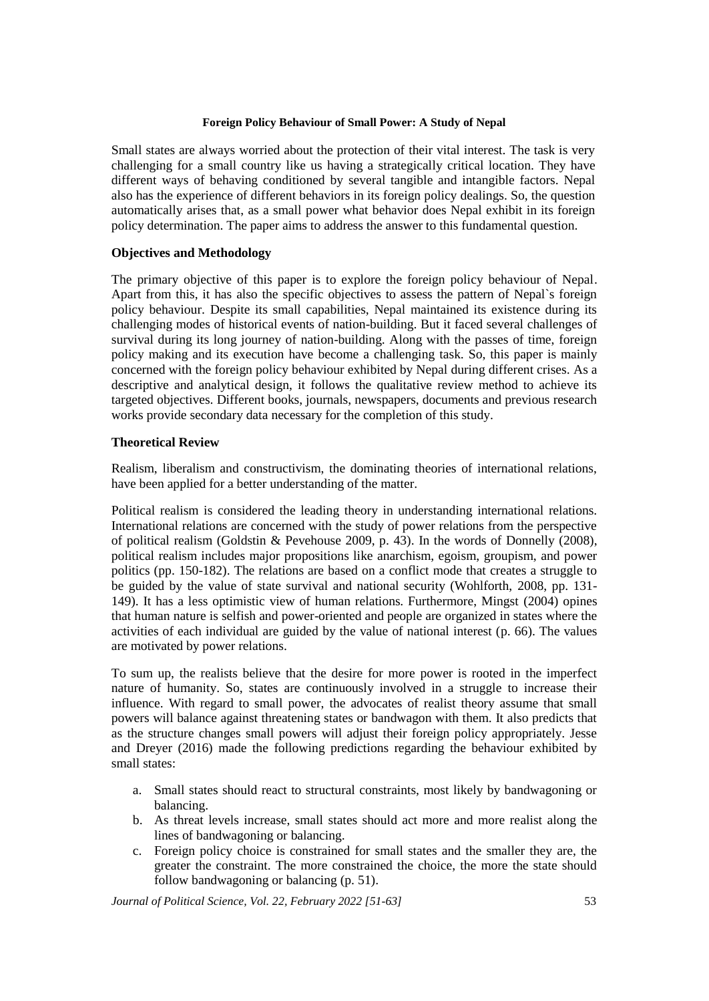Small states are always worried about the protection of their vital interest. The task is very challenging for a small country like us having a strategically critical location. They have different ways of behaving conditioned by several tangible and intangible factors. Nepal also has the experience of different behaviors in its foreign policy dealings. So, the question automatically arises that, as a small power what behavior does Nepal exhibit in its foreign policy determination. The paper aims to address the answer to this fundamental question.

## **Objectives and Methodology**

The primary objective of this paper is to explore the foreign policy behaviour of Nepal. Apart from this, it has also the specific objectives to assess the pattern of Nepal`s foreign policy behaviour. Despite its small capabilities, Nepal maintained its existence during its challenging modes of historical events of nation-building. But it faced several challenges of survival during its long journey of nation-building. Along with the passes of time, foreign policy making and its execution have become a challenging task. So, this paper is mainly concerned with the foreign policy behaviour exhibited by Nepal during different crises. As a descriptive and analytical design, it follows the qualitative review method to achieve its targeted objectives. Different books, journals, newspapers, documents and previous research works provide secondary data necessary for the completion of this study.

## **Theoretical Review**

Realism, liberalism and constructivism, the dominating theories of international relations, have been applied for a better understanding of the matter.

Political realism is considered the leading theory in understanding international relations. International relations are concerned with the study of power relations from the perspective of political realism (Goldstin & Pevehouse 2009, p. 43). In the words of Donnelly (2008), political realism includes major propositions like anarchism, egoism, groupism, and power politics (pp. 150-182). The relations are based on a conflict mode that creates a struggle to be guided by the value of state survival and national security (Wohlforth, 2008, pp. 131- 149). It has a less optimistic view of human relations. Furthermore, Mingst (2004) opines that human nature is selfish and power-oriented and people are organized in states where the activities of each individual are guided by the value of national interest (p. 66). The values are motivated by power relations.

To sum up, the realists believe that the desire for more power is rooted in the imperfect nature of humanity. So, states are continuously involved in a struggle to increase their influence. With regard to small power, the advocates of realist theory assume that small powers will balance against threatening states or bandwagon with them. It also predicts that as the structure changes small powers will adjust their foreign policy appropriately. Jesse and Dreyer (2016) made the following predictions regarding the behaviour exhibited by small states:

- a. Small states should react to structural constraints, most likely by bandwagoning or balancing.
- b. As threat levels increase, small states should act more and more realist along the lines of bandwagoning or balancing.
- c. Foreign policy choice is constrained for small states and the smaller they are, the greater the constraint. The more constrained the choice, the more the state should follow bandwagoning or balancing (p. 51).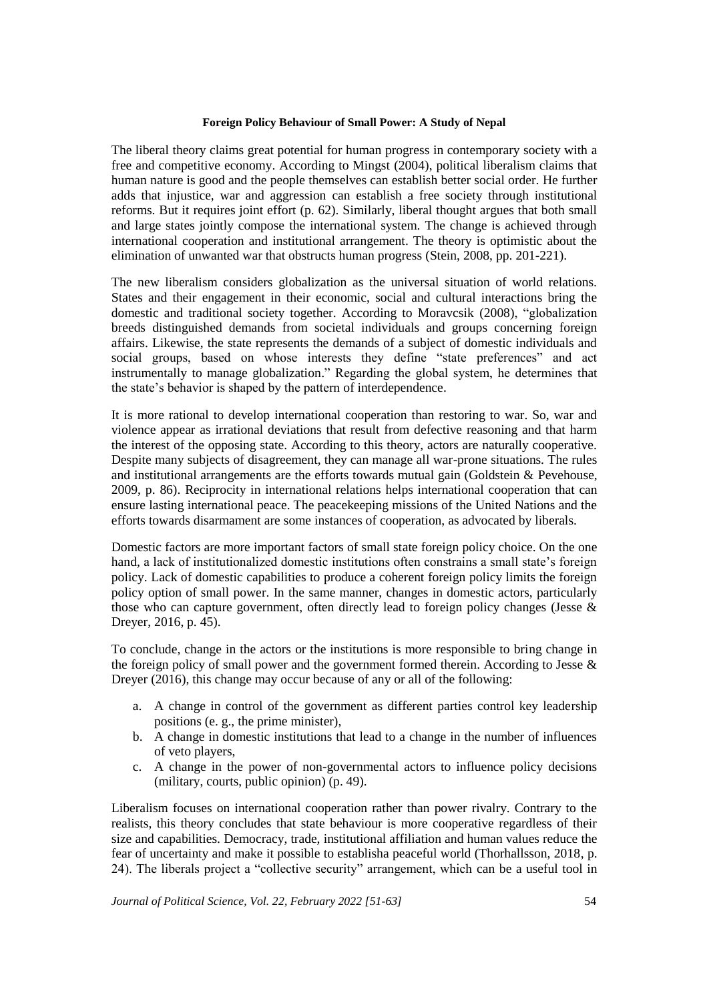The liberal theory claims great potential for human progress in contemporary society with a free and competitive economy. According to Mingst (2004), political liberalism claims that human nature is good and the people themselves can establish better social order. He further adds that injustice, war and aggression can establish a free society through institutional reforms. But it requires joint effort (p. 62). Similarly, liberal thought argues that both small and large states jointly compose the international system. The change is achieved through international cooperation and institutional arrangement. The theory is optimistic about the elimination of unwanted war that obstructs human progress (Stein, 2008, pp. 201-221).

The new liberalism considers globalization as the universal situation of world relations. States and their engagement in their economic, social and cultural interactions bring the domestic and traditional society together. According to Moravcsik (2008), "globalization breeds distinguished demands from societal individuals and groups concerning foreign affairs. Likewise, the state represents the demands of a subject of domestic individuals and social groups, based on whose interests they define "state preferences" and act instrumentally to manage globalization." Regarding the global system, he determines that the state's behavior is shaped by the pattern of interdependence.

It is more rational to develop international cooperation than restoring to war. So, war and violence appear as irrational deviations that result from defective reasoning and that harm the interest of the opposing state. According to this theory, actors are naturally cooperative. Despite many subjects of disagreement, they can manage all war-prone situations. The rules and institutional arrangements are the efforts towards mutual gain (Goldstein & Pevehouse, 2009, p. 86). Reciprocity in international relations helps international cooperation that can ensure lasting international peace. The peacekeeping missions of the United Nations and the efforts towards disarmament are some instances of cooperation, as advocated by liberals.

Domestic factors are more important factors of small state foreign policy choice. On the one hand, a lack of institutionalized domestic institutions often constrains a small state's foreign policy. Lack of domestic capabilities to produce a coherent foreign policy limits the foreign policy option of small power. In the same manner, changes in domestic actors, particularly those who can capture government, often directly lead to foreign policy changes (Jesse  $\&$ Dreyer, 2016, p. 45).

To conclude, change in the actors or the institutions is more responsible to bring change in the foreign policy of small power and the government formed therein. According to Jesse  $\&$ Dreyer (2016), this change may occur because of any or all of the following:

- a. A change in control of the government as different parties control key leadership positions (e. g., the prime minister),
- b. A change in domestic institutions that lead to a change in the number of influences of veto players,
- c. A change in the power of non-governmental actors to influence policy decisions (military, courts, public opinion) (p. 49).

Liberalism focuses on international cooperation rather than power rivalry. Contrary to the realists, this theory concludes that state behaviour is more cooperative regardless of their size and capabilities. Democracy, trade, institutional affiliation and human values reduce the fear of uncertainty and make it possible to establisha peaceful world (Thorhallsson, 2018, p. 24). The liberals project a "collective security" arrangement, which can be a useful tool in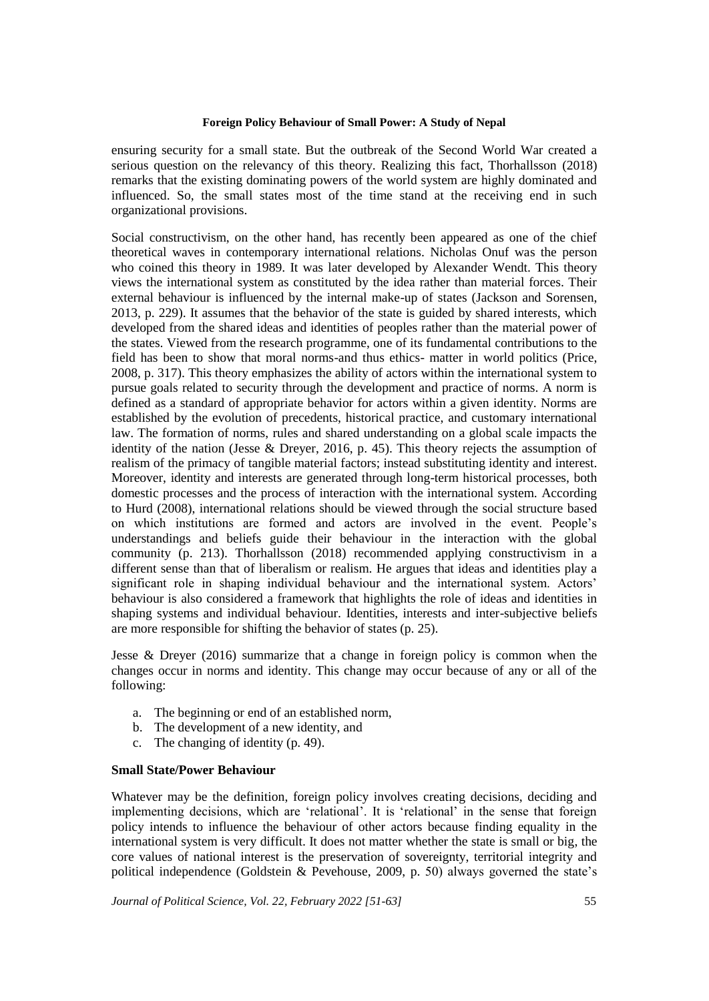ensuring security for a small state. But the outbreak of the Second World War created a serious question on the relevancy of this theory. Realizing this fact, Thorhallsson (2018) remarks that the existing dominating powers of the world system are highly dominated and influenced. So, the small states most of the time stand at the receiving end in such organizational provisions.

Social constructivism, on the other hand, has recently been appeared as one of the chief theoretical waves in contemporary international relations. Nicholas Onuf was the person who coined this theory in 1989. It was later developed by Alexander Wendt. This theory views the international system as constituted by the idea rather than material forces. Their external behaviour is influenced by the internal make-up of states (Jackson and Sorensen, 2013, p. 229). It assumes that the behavior of the state is guided by shared interests, which developed from the shared ideas and identities of peoples rather than the material power of the states. Viewed from the research programme, one of its fundamental contributions to the field has been to show that moral norms-and thus ethics- matter in world politics (Price, 2008, p. 317). This theory emphasizes the ability of actors within the international system to pursue goals related to security through the development and practice of norms. A norm is defined as a standard of appropriate behavior for actors within a given identity. Norms are established by the evolution of precedents, historical practice, and customary international law. The formation of norms, rules and shared understanding on a global scale impacts the identity of the nation (Jesse & Dreyer, 2016, p. 45). This theory rejects the assumption of realism of the primacy of tangible material factors; instead substituting identity and interest. Moreover, identity and interests are generated through long-term historical processes, both domestic processes and the process of interaction with the international system. According to Hurd (2008), international relations should be viewed through the social structure based on which institutions are formed and actors are involved in the event. People's understandings and beliefs guide their behaviour in the interaction with the global community (p. 213). Thorhallsson (2018) recommended applying constructivism in a different sense than that of liberalism or realism. He argues that ideas and identities play a significant role in shaping individual behaviour and the international system. Actors' behaviour is also considered a framework that highlights the role of ideas and identities in shaping systems and individual behaviour. Identities, interests and inter-subjective beliefs are more responsible for shifting the behavior of states (p. 25).

Jesse & Dreyer (2016) summarize that a change in foreign policy is common when the changes occur in norms and identity. This change may occur because of any or all of the following:

- a. The beginning or end of an established norm,
- b. The development of a new identity, and
- c. The changing of identity (p. 49).

#### **Small State/Power Behaviour**

Whatever may be the definition, foreign policy involves creating decisions, deciding and implementing decisions, which are 'relational'. It is 'relational' in the sense that foreign policy intends to influence the behaviour of other actors because finding equality in the international system is very difficult. It does not matter whether the state is small or big, the core values of national interest is the preservation of sovereignty, territorial integrity and political independence (Goldstein & Pevehouse, 2009, p. 50) always governed the state's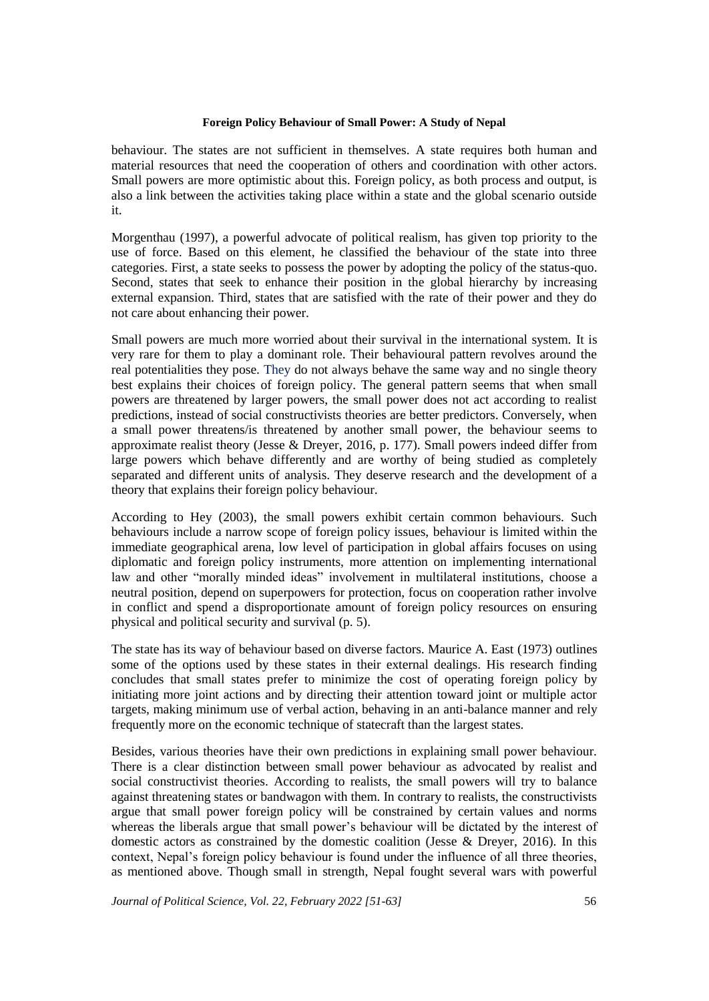behaviour. The states are not sufficient in themselves. A state requires both human and material resources that need the cooperation of others and coordination with other actors. Small powers are more optimistic about this. Foreign policy, as both process and output, is also a link between the activities taking place within a state and the global scenario outside it.

Morgenthau (1997), a powerful advocate of political realism, has given top priority to the use of force. Based on this element, he classified the behaviour of the state into three categories. First, a state seeks to possess the power by adopting the policy of the status-quo. Second, states that seek to enhance their position in the global hierarchy by increasing external expansion. Third, states that are satisfied with the rate of their power and they do not care about enhancing their power.

Small powers are much more worried about their survival in the international system. It is very rare for them to play a dominant role. Their behavioural pattern revolves around the real potentialities they pose. They do not always behave the same way and no single theory best explains their choices of foreign policy. The general pattern seems that when small powers are threatened by larger powers, the small power does not act according to realist predictions, instead of social constructivists theories are better predictors. Conversely, when a small power threatens/is threatened by another small power, the behaviour seems to approximate realist theory (Jesse & Dreyer, 2016, p. 177). Small powers indeed differ from large powers which behave differently and are worthy of being studied as completely separated and different units of analysis. They deserve research and the development of a theory that explains their foreign policy behaviour.

According to Hey (2003), the small powers exhibit certain common behaviours. Such behaviours include a narrow scope of foreign policy issues, behaviour is limited within the immediate geographical arena, low level of participation in global affairs focuses on using diplomatic and foreign policy instruments, more attention on implementing international law and other "morally minded ideas" involvement in multilateral institutions, choose a neutral position, depend on superpowers for protection, focus on cooperation rather involve in conflict and spend a disproportionate amount of foreign policy resources on ensuring physical and political security and survival (p. 5).

The state has its way of behaviour based on diverse factors. Maurice A. East (1973) outlines some of the options used by these states in their external dealings. His research finding concludes that small states prefer to minimize the cost of operating foreign policy by initiating more joint actions and by directing their attention toward joint or multiple actor targets, making minimum use of verbal action, behaving in an anti-balance manner and rely frequently more on the economic technique of statecraft than the largest states.

Besides, various theories have their own predictions in explaining small power behaviour. There is a clear distinction between small power behaviour as advocated by realist and social constructivist theories. According to realists, the small powers will try to balance against threatening states or bandwagon with them. In contrary to realists, the constructivists argue that small power foreign policy will be constrained by certain values and norms whereas the liberals argue that small power's behaviour will be dictated by the interest of domestic actors as constrained by the domestic coalition (Jesse & Dreyer, 2016). In this context, Nepal's foreign policy behaviour is found under the influence of all three theories, as mentioned above. Though small in strength, Nepal fought several wars with powerful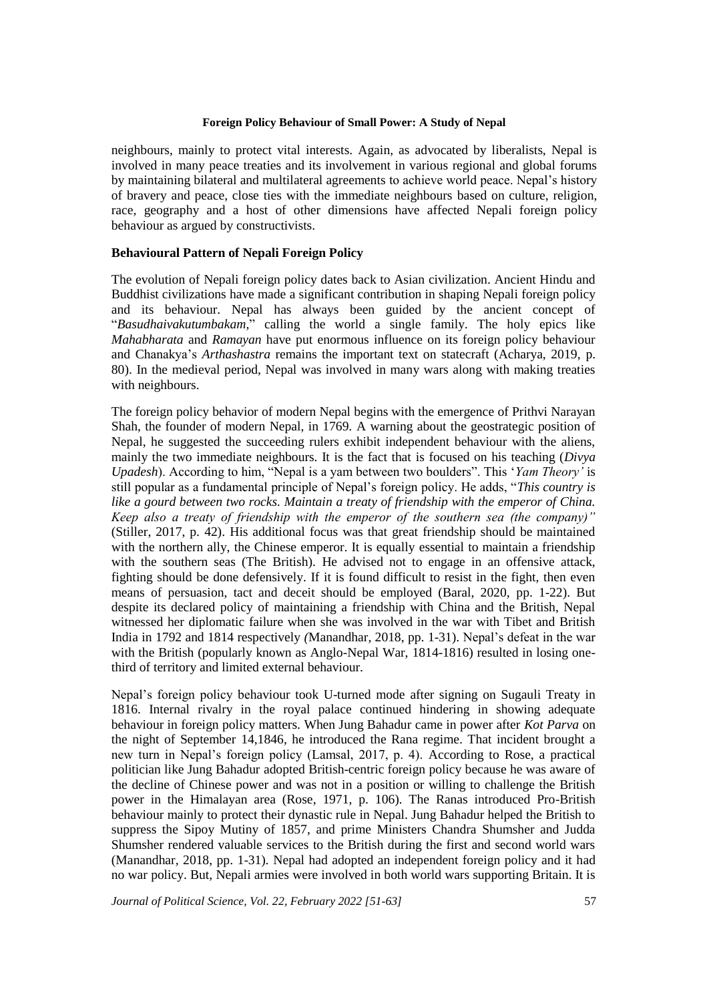neighbours, mainly to protect vital interests. Again, as advocated by liberalists, Nepal is involved in many peace treaties and its involvement in various regional and global forums by maintaining bilateral and multilateral agreements to achieve world peace. Nepal's history of bravery and peace, close ties with the immediate neighbours based on culture, religion, race, geography and a host of other dimensions have affected Nepali foreign policy behaviour as argued by constructivists.

#### **Behavioural Pattern of Nepali Foreign Policy**

The evolution of Nepali foreign policy dates back to Asian civilization. Ancient Hindu and Buddhist civilizations have made a significant contribution in shaping Nepali foreign policy and its behaviour. Nepal has always been guided by the ancient concept of "*Basudhaivakutumbakam,*" calling the world a single family. The holy epics like *Mahabharata* and *Ramayan* have put enormous influence on its foreign policy behaviour and Chanakya's *Arthashastra* remains the important text on statecraft (Acharya, 2019, p. 80). In the medieval period, Nepal was involved in many wars along with making treaties with neighbours.

The foreign policy behavior of modern Nepal begins with the emergence of Prithvi Narayan Shah, the founder of modern Nepal, in 1769. A warning about the geostrategic position of Nepal, he suggested the succeeding rulers exhibit independent behaviour with the aliens, mainly the two immediate neighbours. It is the fact that is focused on his teaching (*Divya Upadesh*). According to him, "Nepal is a yam between two boulders". This '*Yam Theory'* is still popular as a fundamental principle of Nepal's foreign policy. He adds, "*This country is like a gourd between two rocks. Maintain a treaty of friendship with the emperor of China. Keep also a treaty of friendship with the emperor of the southern sea (the company)"* (Stiller, 2017, p. 42). His additional focus was that great friendship should be maintained with the northern ally, the Chinese emperor. It is equally essential to maintain a friendship with the southern seas (The British). He advised not to engage in an offensive attack, fighting should be done defensively. If it is found difficult to resist in the fight, then even means of persuasion, tact and deceit should be employed (Baral, 2020, pp. 1-22). But despite its declared policy of maintaining a friendship with China and the British, Nepal witnessed her diplomatic failure when she was involved in the war with Tibet and British India in 1792 and 1814 respectively *(*Manandhar*,* 2018, pp. 1-31). Nepal's defeat in the war with the British (popularly known as Anglo-Nepal War, 1814-1816) resulted in losing onethird of territory and limited external behaviour.

Nepal's foreign policy behaviour took U-turned mode after signing on Sugauli Treaty in 1816. Internal rivalry in the royal palace continued hindering in showing adequate behaviour in foreign policy matters. When Jung Bahadur came in power after *Kot Parva* on the night of September 14,1846, he introduced the Rana regime. That incident brought a new turn in Nepal's foreign policy (Lamsal, 2017, p. 4). According to Rose, a practical politician like Jung Bahadur adopted British-centric foreign policy because he was aware of the decline of Chinese power and was not in a position or willing to challenge the British power in the Himalayan area (Rose, 1971, p. 106). The Ranas introduced Pro-British behaviour mainly to protect their dynastic rule in Nepal. Jung Bahadur helped the British to suppress the Sipoy Mutiny of 1857, and prime Ministers Chandra Shumsher and Judda Shumsher rendered valuable services to the British during the first and second world wars (Manandhar*,* 2018, pp. 1-31)*.* Nepal had adopted an independent foreign policy and it had no war policy. But, Nepali armies were involved in both world wars supporting Britain. It is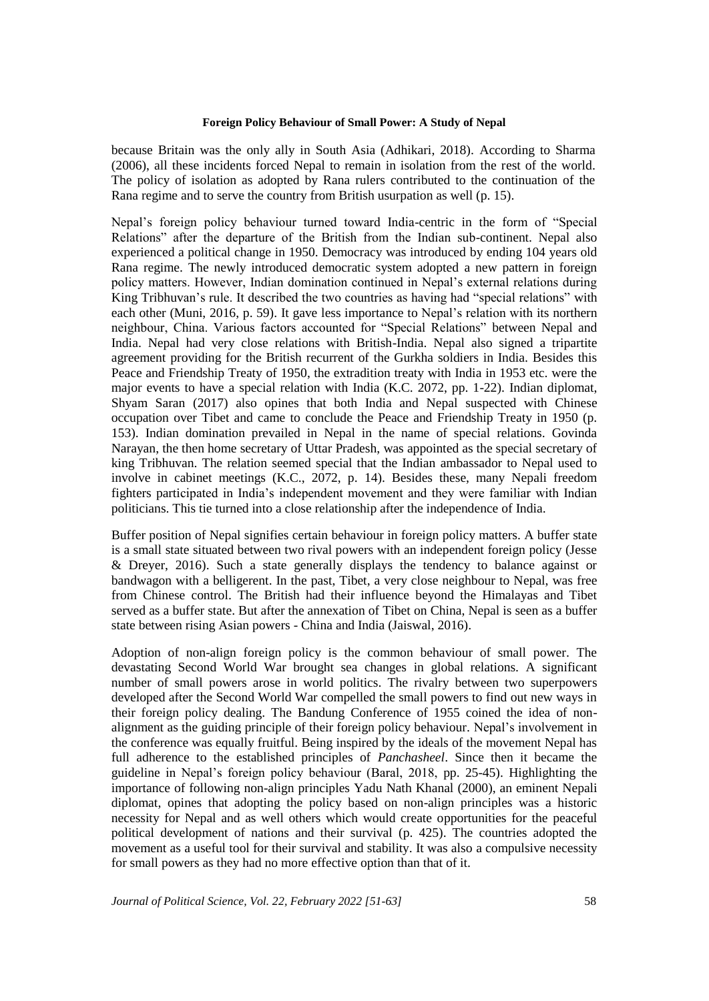because Britain was the only ally in South Asia (Adhikari, 2018). According to Sharma (2006), all these incidents forced Nepal to remain in isolation from the rest of the world. The policy of isolation as adopted by Rana rulers contributed to the continuation of the Rana regime and to serve the country from British usurpation as well (p. 15).

Nepal's foreign policy behaviour turned toward India-centric in the form of "Special Relations" after the departure of the British from the Indian sub-continent. Nepal also experienced a political change in 1950. Democracy was introduced by ending 104 years old Rana regime. The newly introduced democratic system adopted a new pattern in foreign policy matters. However, Indian domination continued in Nepal's external relations during King Tribhuvan's rule. It described the two countries as having had "special relations" with each other (Muni, 2016, p. 59). It gave less importance to Nepal's relation with its northern neighbour, China. Various factors accounted for "Special Relations" between Nepal and India. Nepal had very close relations with British-India. Nepal also signed a tripartite agreement providing for the British recurrent of the Gurkha soldiers in India. Besides this Peace and Friendship Treaty of 1950, the extradition treaty with India in 1953 etc. were the major events to have a special relation with India (K.C. 2072, pp. 1-22). Indian diplomat, Shyam Saran (2017) also opines that both India and Nepal suspected with Chinese occupation over Tibet and came to conclude the Peace and Friendship Treaty in 1950 (p. 153). Indian domination prevailed in Nepal in the name of special relations. Govinda Narayan, the then home secretary of Uttar Pradesh, was appointed as the special secretary of king Tribhuvan. The relation seemed special that the Indian ambassador to Nepal used to involve in cabinet meetings (K.C., 2072, p. 14). Besides these, many Nepali freedom fighters participated in India's independent movement and they were familiar with Indian politicians. This tie turned into a close relationship after the independence of India.

Buffer position of Nepal signifies certain behaviour in foreign policy matters. A buffer state is a small state situated between two rival powers with an independent foreign policy (Jesse & Dreyer, 2016). Such a state generally displays the tendency to balance against or bandwagon with a belligerent. In the past, Tibet, a very close neighbour to Nepal, was free from Chinese control. The British had their influence beyond the Himalayas and Tibet served as a buffer state. But after the annexation of Tibet on China, Nepal is seen as a buffer state between rising Asian powers - China and India (Jaiswal, 2016).

Adoption of non-align foreign policy is the common behaviour of small power. The devastating Second World War brought sea changes in global relations. A significant number of small powers arose in world politics. The rivalry between two superpowers developed after the Second World War compelled the small powers to find out new ways in their foreign policy dealing. The Bandung Conference of 1955 coined the idea of nonalignment as the guiding principle of their foreign policy behaviour. Nepal's involvement in the conference was equally fruitful. Being inspired by the ideals of the movement Nepal has full adherence to the established principles of *Panchasheel*. Since then it became the guideline in Nepal's foreign policy behaviour (Baral, 2018, pp. 25-45). Highlighting the importance of following non-align principles Yadu Nath Khanal (2000), an eminent Nepali diplomat, opines that adopting the policy based on non-align principles was a historic necessity for Nepal and as well others which would create opportunities for the peaceful political development of nations and their survival (p. 425). The countries adopted the movement as a useful tool for their survival and stability. It was also a compulsive necessity for small powers as they had no more effective option than that of it.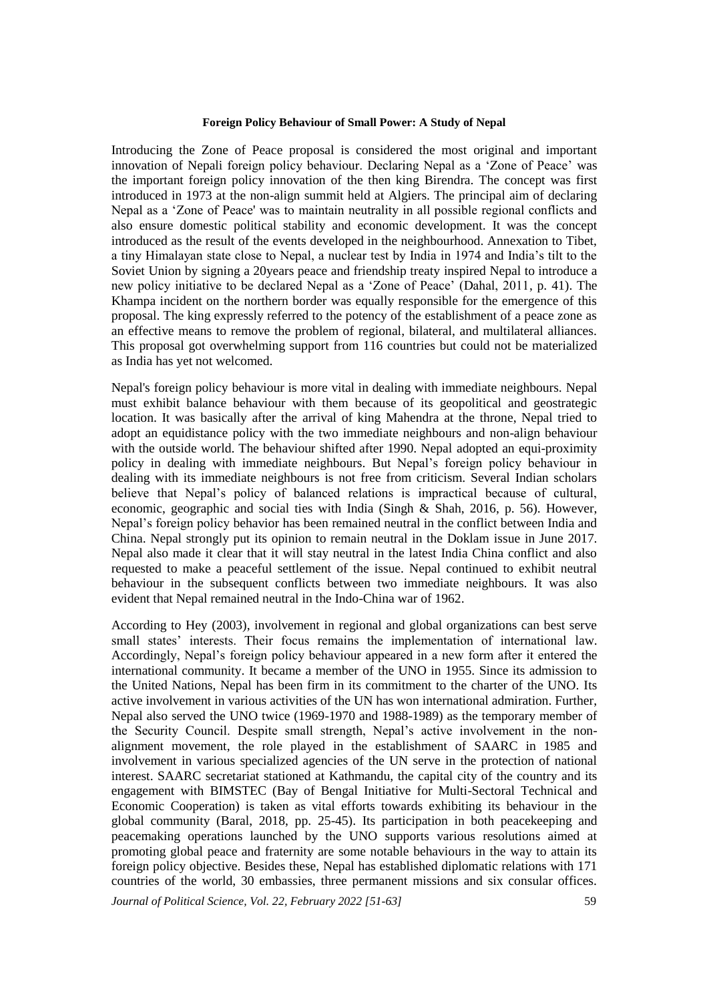Introducing the Zone of Peace proposal is considered the most original and important innovation of Nepali foreign policy behaviour. Declaring Nepal as a 'Zone of Peace' was the important foreign policy innovation of the then king Birendra. The concept was first introduced in 1973 at the non-align summit held at Algiers. The principal aim of declaring Nepal as a 'Zone of Peace' was to maintain neutrality in all possible regional conflicts and also ensure domestic political stability and economic development. It was the concept introduced as the result of the events developed in the neighbourhood. Annexation to Tibet, a tiny Himalayan state close to Nepal, a nuclear test by India in 1974 and India's tilt to the Soviet Union by signing a 20years peace and friendship treaty inspired Nepal to introduce a new policy initiative to be declared Nepal as a 'Zone of Peace' (Dahal, 2011, p. 41). The Khampa incident on the northern border was equally responsible for the emergence of this proposal. The king expressly referred to the potency of the establishment of a peace zone as an effective means to remove the problem of regional, bilateral, and multilateral alliances. This proposal got overwhelming support from 116 countries but could not be materialized as India has yet not welcomed.

Nepal's foreign policy behaviour is more vital in dealing with immediate neighbours. Nepal must exhibit balance behaviour with them because of its geopolitical and geostrategic location. It was basically after the arrival of king Mahendra at the throne, Nepal tried to adopt an equidistance policy with the two immediate neighbours and non-align behaviour with the outside world. The behaviour shifted after 1990. Nepal adopted an equi-proximity policy in dealing with immediate neighbours. But Nepal's foreign policy behaviour in dealing with its immediate neighbours is not free from criticism. Several Indian scholars believe that Nepal's policy of balanced relations is impractical because of cultural, economic, geographic and social ties with India (Singh & Shah, 2016, p. 56). However, Nepal's foreign policy behavior has been remained neutral in the conflict between India and China. Nepal strongly put its opinion to remain neutral in the Doklam issue in June 2017. Nepal also made it clear that it will stay neutral in the latest India China conflict and also requested to make a peaceful settlement of the issue. Nepal continued to exhibit neutral behaviour in the subsequent conflicts between two immediate neighbours. It was also evident that Nepal remained neutral in the Indo-China war of 1962.

According to Hey (2003), involvement in regional and global organizations can best serve small states' interests. Their focus remains the implementation of international law. Accordingly, Nepal's foreign policy behaviour appeared in a new form after it entered the international community. It became a member of the UNO in 1955. Since its admission to the United Nations, Nepal has been firm in its commitment to the charter of the UNO. Its active involvement in various activities of the UN has won international admiration. Further, Nepal also served the UNO twice (1969-1970 and 1988-1989) as the temporary member of the Security Council. Despite small strength, Nepal's active involvement in the nonalignment movement, the role played in the establishment of SAARC in 1985 and involvement in various specialized agencies of the UN serve in the protection of national interest. SAARC secretariat stationed at Kathmandu, the capital city of the country and its engagement with BIMSTEC (Bay of Bengal Initiative for Multi-Sectoral Technical and Economic Cooperation) is taken as vital efforts towards exhibiting its behaviour in the global community (Baral, 2018, pp. 25-45). Its participation in both peacekeeping and peacemaking operations launched by the UNO supports various resolutions aimed at promoting global peace and fraternity are some notable behaviours in the way to attain its foreign policy objective. Besides these, Nepal has established diplomatic relations with 171 countries of the world, 30 embassies, three permanent missions and six consular offices.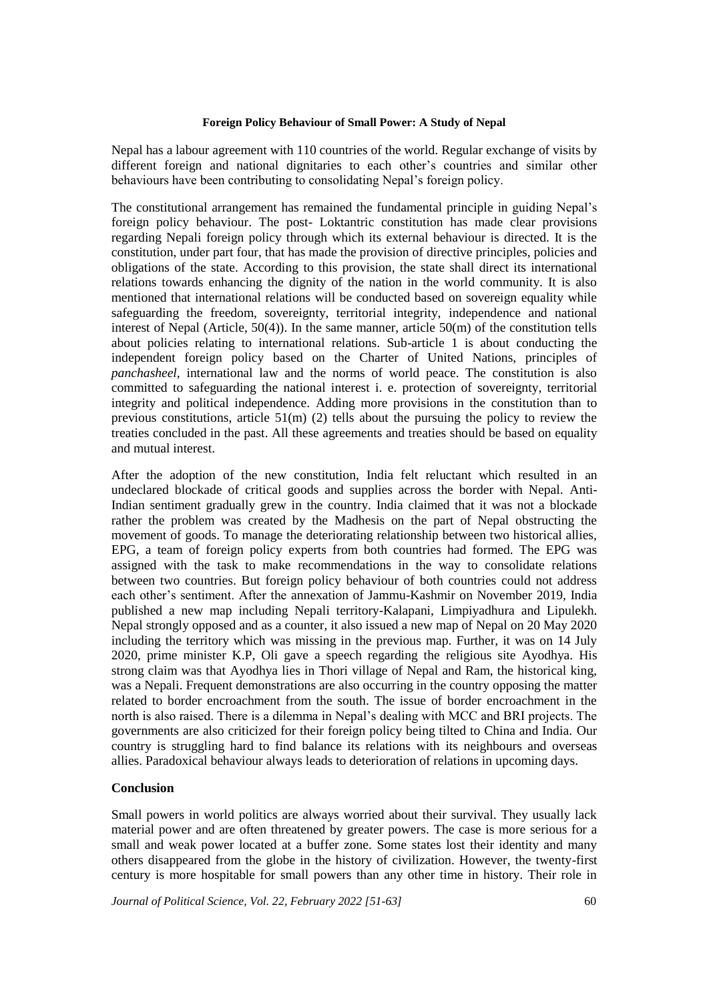Nepal has a labour agreement with 110 countries of the world. Regular exchange of visits by different foreign and national dignitaries to each other's countries and similar other behaviours have been contributing to consolidating Nepal's foreign policy.

The constitutional arrangement has remained the fundamental principle in guiding Nepal's foreign policy behaviour. The post- Loktantric constitution has made clear provisions regarding Nepali foreign policy through which its external behaviour is directed. It is the constitution, under part four, that has made the provision of directive principles, policies and obligations of the state. According to this provision, the state shall direct its international relations towards enhancing the dignity of the nation in the world community. It is also mentioned that international relations will be conducted based on sovereign equality while safeguarding the freedom, sovereignty, territorial integrity, independence and national interest of Nepal (Article,  $50(4)$ ). In the same manner, article  $50(m)$  of the constitution tells about policies relating to international relations. Sub-article 1 is about conducting the independent foreign policy based on the Charter of United Nations, principles of *panchasheel,* international law and the norms of world peace. The constitution is also committed to safeguarding the national interest i. e. protection of sovereignty, territorial integrity and political independence. Adding more provisions in the constitution than to previous constitutions, article 51(m) (2) tells about the pursuing the policy to review the treaties concluded in the past. All these agreements and treaties should be based on equality and mutual interest.

After the adoption of the new constitution, India felt reluctant which resulted in an undeclared blockade of critical goods and supplies across the border with Nepal. Anti-Indian sentiment gradually grew in the country. India claimed that it was not a blockade rather the problem was created by the Madhesis on the part of Nepal obstructing the movement of goods. To manage the deteriorating relationship between two historical allies, EPG, a team of foreign policy experts from both countries had formed. The EPG was assigned with the task to make recommendations in the way to consolidate relations between two countries. But foreign policy behaviour of both countries could not address each other's sentiment. After the annexation of Jammu-Kashmir on November 2019, India published a new map including Nepali territory-Kalapani, Limpiyadhura and Lipulekh. Nepal strongly opposed and as a counter, it also issued a new map of Nepal on 20 May 2020 including the territory which was missing in the previous map. Further, it was on 14 July 2020, prime minister K.P, Oli gave a speech regarding the religious site Ayodhya. His strong claim was that Ayodhya lies in Thori village of Nepal and Ram, the historical king, was a Nepali. Frequent demonstrations are also occurring in the country opposing the matter related to border encroachment from the south. The issue of border encroachment in the north is also raised. There is a dilemma in Nepal's dealing with MCC and BRI projects. The governments are also criticized for their foreign policy being tilted to China and India. Our country is struggling hard to find balance its relations with its neighbours and overseas allies. Paradoxical behaviour always leads to deterioration of relations in upcoming days.

### **Conclusion**

Small powers in world politics are always worried about their survival. They usually lack material power and are often threatened by greater powers. The case is more serious for a small and weak power located at a buffer zone. Some states lost their identity and many others disappeared from the globe in the history of civilization. However, the twenty-first century is more hospitable for small powers than any other time in history. Their role in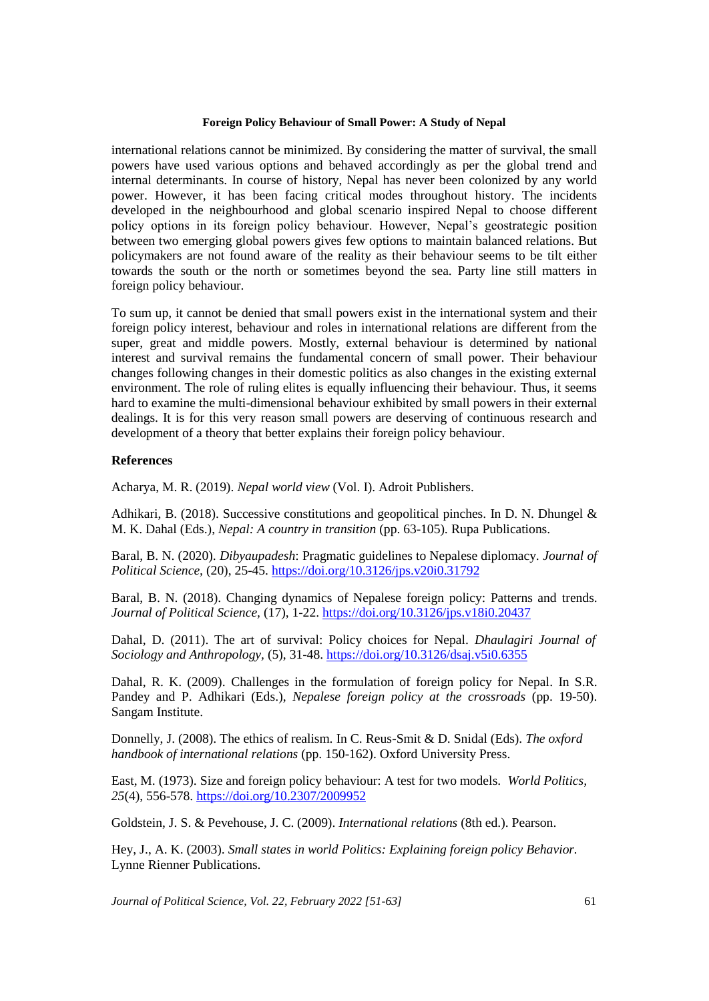international relations cannot be minimized. By considering the matter of survival, the small powers have used various options and behaved accordingly as per the global trend and internal determinants. In course of history, Nepal has never been colonized by any world power. However, it has been facing critical modes throughout history. The incidents developed in the neighbourhood and global scenario inspired Nepal to choose different policy options in its foreign policy behaviour. However, Nepal's geostrategic position between two emerging global powers gives few options to maintain balanced relations. But policymakers are not found aware of the reality as their behaviour seems to be tilt either towards the south or the north or sometimes beyond the sea. Party line still matters in foreign policy behaviour.

To sum up, it cannot be denied that small powers exist in the international system and their foreign policy interest, behaviour and roles in international relations are different from the super, great and middle powers. Mostly, external behaviour is determined by national interest and survival remains the fundamental concern of small power. Their behaviour changes following changes in their domestic politics as also changes in the existing external environment. The role of ruling elites is equally influencing their behaviour. Thus, it seems hard to examine the multi-dimensional behaviour exhibited by small powers in their external dealings. It is for this very reason small powers are deserving of continuous research and development of a theory that better explains their foreign policy behaviour.

#### **References**

Acharya, M. R. (2019). *Nepal world view* (Vol. I). Adroit Publishers.

Adhikari, B. (2018). Successive constitutions and geopolitical pinches*.* In D. N. Dhungel & M. K. Dahal (Eds.), *Nepal: A country in transition* (pp. 63-105)*.* Rupa Publications.

Baral, B. N. (2020). *Dibyaupadesh*: Pragmatic guidelines to Nepalese diplomacy. *Journal of Political Science,* (20), 25-45. <https://doi.org/10.3126/jps.v20i0.31792>

Baral, B. N. (2018). Changing dynamics of Nepalese foreign policy: Patterns and trends. *Journal of Political Science,* (17), 1-22. <https://doi.org/10.3126/jps.v18i0.20437>

Dahal, D. (2011). The art of survival: Policy choices for Nepal. *Dhaulagiri Journal of Sociology and Anthropology,* (5), 31-48. <https://doi.org/10.3126/dsaj.v5i0.6355>

Dahal, R. K. (2009). Challenges in the formulation of foreign policy for Nepal. In S.R. Pandey and P. Adhikari (Eds.), *Nepalese foreign policy at the crossroads* (pp. 19-50). Sangam Institute.

Donnelly, J. (2008). The ethics of realism. In C. Reus-Smit & D. Snidal (Eds). *The oxford handbook of international relations* (pp. 150-162). Oxford University Press.

East, M. (1973). Size and foreign policy behaviour: A test for two models. *World Politics, 25*(4), 556-578. <https://doi.org/10.2307/2009952>

Goldstein, J. S. & Pevehouse, J. C. (2009). *International relations* (8th ed.). Pearson.

Hey, J., A. K. (2003). *Small states in world Politics: Explaining foreign policy Behavior.*  Lynne Rienner Publications.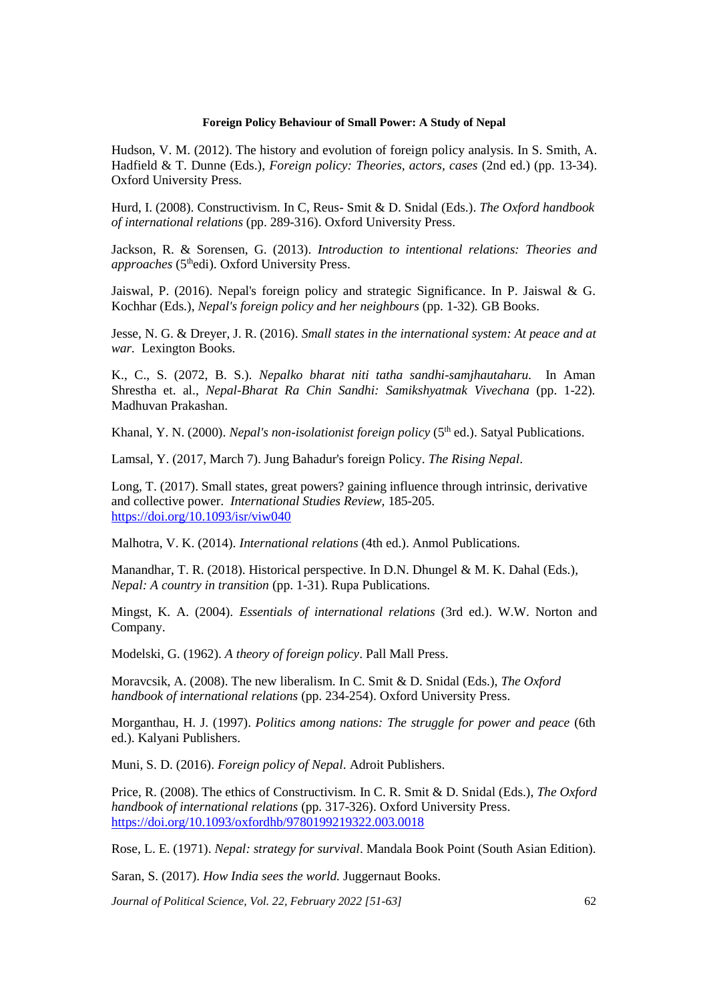Hudson, V. M. (2012). The history and evolution of foreign policy analysis. In S. Smith, A. Hadfield & T. Dunne (Eds.), *Foreign policy: Theories, actors, cases* (2nd ed.) (pp. 13-34). Oxford University Press.

Hurd, I. (2008). Constructivism. In C, Reus- Smit & D. Snidal (Eds.). *The Oxford handbook of international relations* (pp. 289-316). Oxford University Press.

Jackson, R. & Sorensen, G. (2013). *Introduction to intentional relations: Theories and approaches* (5<sup>th</sup>edi). Oxford University Press.

Jaiswal, P. (2016). Nepal's foreign policy and strategic Significance. In P. Jaiswal & G. Kochhar (Eds.), *Nepal's foreign policy and her neighbours* (pp. 1-32)*.* GB Books.

Jesse, N. G. & Dreyer, J. R. (2016). *Small states in the international system: At peace and at war.* Lexington Books.

K., C., S. (2072, B. S.). *Nepalko bharat niti tatha sandhi-samjhautaharu.* In Aman Shrestha et. al., *Nepal-Bharat Ra Chin Sandhi: Samikshyatmak Vivechana* (pp. 1-22)*.* Madhuvan Prakashan.

Khanal, Y. N. (2000). *Nepal's non-isolationist foreign policy* (5<sup>th</sup> ed.). Satyal Publications.

Lamsal, Y. (2017, March 7). Jung Bahadur's foreign Policy. *The Rising Nepal*.

Long, T. (2017). Small states, great powers? gaining influence through intrinsic, derivative and collective power. *International Studies Review,* 185-205. <https://doi.org/10.1093/isr/viw040>

Malhotra, V. K. (2014). *International relations* (4th ed.). Anmol Publications.

Manandhar, T. R. (2018). Historical perspective. In D.N. Dhungel & M. K. Dahal (Eds.), *Nepal: A country in transition* (pp. 1-31). Rupa Publications.

Mingst, K. A. (2004). *Essentials of international relations* (3rd ed.). W.W. Norton and Company.

Modelski, G. (1962). *A theory of foreign policy*. Pall Mall Press.

Moravcsik, A. (2008). The new liberalism. In C. Smit & D. Snidal (Eds.), *The Oxford handbook of international relations* (pp. 234-254). Oxford University Press.

Morganthau, H. J. (1997). *Politics among nations: The struggle for power and peace* (6th ed.). Kalyani Publishers.

Muni, S. D. (2016). *Foreign policy of Nepal*. Adroit Publishers.

Price, R. (2008). The ethics of Constructivism. In C. R. Smit & D. Snidal (Eds.), *The Oxford handbook of international relations* (pp. 317-326). Oxford University Press. <https://doi.org/10.1093/oxfordhb/9780199219322.003.0018>

Rose, L. E. (1971). *Nepal: strategy for survival*. Mandala Book Point (South Asian Edition).

Saran, S. (2017). *How India sees the world.* Juggernaut Books.